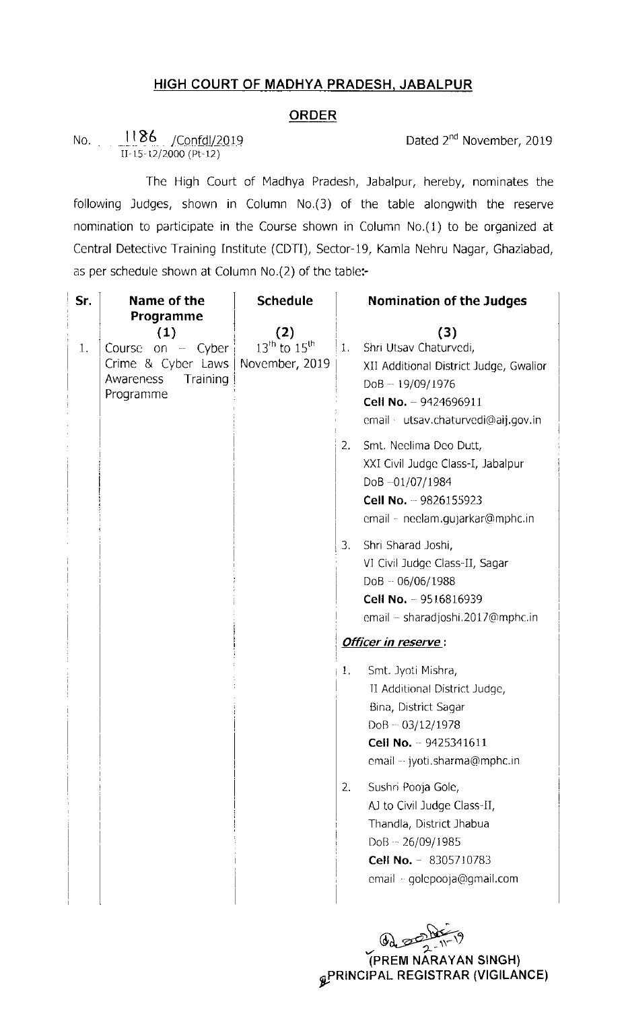## HIGH COURT OF MADHYA PRADESH, JABALPUR

## ORDER

No. \_i\_I\_86 /c\_onfd\_I/\_2\_ol9 ||-15h t2/2000 (Pt..12)

Dated 2<sup>nd</sup> November, 2019

The High Court of Madhya Pradesh, Jabalpur, hereby, nominates the following Judges, shown in Column No.(3) of the table alongwith the reserve nomination to participate in the Course shown in Column No.(1) to be organized at Central Detective Training Institute (CDTI), Sector-19, Kamla Nehru Nagar, Ghaziabad, as per schedule shown at Column No.(2) of the table:-

| as per schedule shown at Column No.(2) of the table:- |                             |                               |    |                                        |
|-------------------------------------------------------|-----------------------------|-------------------------------|----|----------------------------------------|
| Sr.                                                   | Name of the                 | <b>Schedule</b>               |    | <b>Nomination of the Judges</b>        |
|                                                       | Programme                   |                               |    |                                        |
| 1.                                                    | (1)<br>on – Cyber<br>Course | (2)<br>$13^{th}$ to $15^{th}$ | 1. | (3)<br>Shri Utsav Chaturvedi,          |
|                                                       | Crime & Cyber Laws          | November, 2019                |    | XII Additional District Judge, Gwalior |
|                                                       | Training<br>Awareness       |                               |    | $DoB - 19/09/1976$                     |
|                                                       | Programme                   |                               |    | Cell No. $-9424696911$                 |
|                                                       |                             |                               |    | email · utsav.chaturvedi@aij.gov.in    |
|                                                       |                             |                               |    |                                        |
|                                                       |                             |                               | 2. | Smt. Neelima Deo Dutt,                 |
|                                                       |                             |                               |    | XXI Civil Judge Class-I, Jabalpur      |
|                                                       |                             |                               |    | DoB-01/07/1984                         |
|                                                       |                             |                               |    | Cell No. - 9826155923                  |
|                                                       |                             |                               |    | email - neelam.qujarkar@mphc.in        |
|                                                       |                             |                               | 3. | Shri Sharad Joshi,                     |
|                                                       |                             |                               |    | VI Civil Judge Class-II, Sagar         |
|                                                       |                             |                               |    | $DoB - 06/06/1988$                     |
|                                                       |                             |                               |    | <b>Cell No.</b> $-9516816939$          |
|                                                       |                             |                               |    | email - sharadjoshi.2017@mphc.in       |
|                                                       |                             |                               |    | Officer in reserve:                    |
|                                                       |                             |                               | 1. | Smt. Jyoti Mishra,                     |
|                                                       |                             |                               |    | II Additional District Judge,          |
|                                                       |                             |                               |    | Bina, District Sagar                   |
|                                                       |                             |                               |    | $DoB - 03/12/1978$                     |
|                                                       |                             |                               |    | Cell No. - 9425341611                  |
|                                                       |                             |                               |    | email -- jyoti.sharma@mphc.in          |
|                                                       |                             |                               | 2. | Sushri Pooja Gole,                     |
|                                                       |                             |                               |    | AJ to Civil Judge Class-II,            |
|                                                       |                             |                               |    | Thandla, District Jhabua               |
|                                                       |                             |                               |    | $DoB - 26/09/1985$                     |
|                                                       |                             |                               |    | Cell No. - 8305710783                  |
|                                                       |                             |                               |    | email - golepooja@gmail.com            |
|                                                       |                             |                               |    |                                        |
|                                                       |                             |                               |    |                                        |

(PREM NARAYAN SINGH)  $\mathcal{L}$  randa al regional (vigilance)